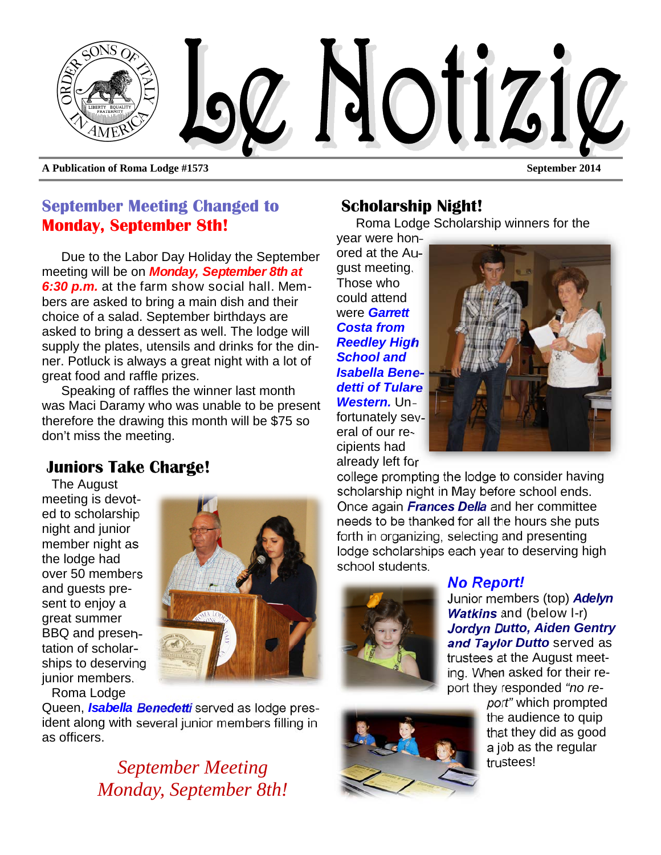

#### **September Meeting Changed to Monday, September 8th!**

Due to the Labor Day Holiday the September meeting will be on *Monday, September 8th at 6:30 p.m.* at the farm show social hall. Members are asked to bring a main dish and their choice of a salad. September birthdays are asked to bring a dessert as well. The lodge will supply the plates, utensils and drinks for the dinner. Potluck is always a great night with a lot of great food and raffle prizes.

Speaking of raffles the winner last month was Maci Daramy who was unable to be present therefore the drawing this month will be \$75 so don't miss the meeting.

### **Juniors Take Charge!**

The August meeting is devoted to scholarship night and junior member night as the lodge had over 50 members and guests present to enjoy a great summer BBQ and presentation of scholarships to deserving junior members. Roma Lodge



Queen, *Isabella Benedetti* served as lodge president along with several junior members filling in as officers.

> September Meeting *September Meeting Monday, September 8th!*

#### **Scholarship Night!**

Roma Lodge Scholarship winners for the

year were honored at the August meeting. Those who could attend were *Garrett Costa from Reedley High School and Isabella Benedetti of Tulare Western.* Unfortunately several of our recipients had already left for



college prompting the lodge to consider having scholarship night in May before school ends. Once again *Frances Della* and her committee needs to be thanked for all the hours she puts forth in organizing, selecting and presenting lodge scholarships each year to deserving high school students.



#### *No Report!*

Junior members (top) *Adelyn Watkins* and (below l-r) *Jordyn Dutto, Aiden Gentry and Taylor Dutto* served as trustees at the August meeting. When asked for their report they responded *"no re-*



*port"* which prompted the audience to quip that they did as good a job as the regular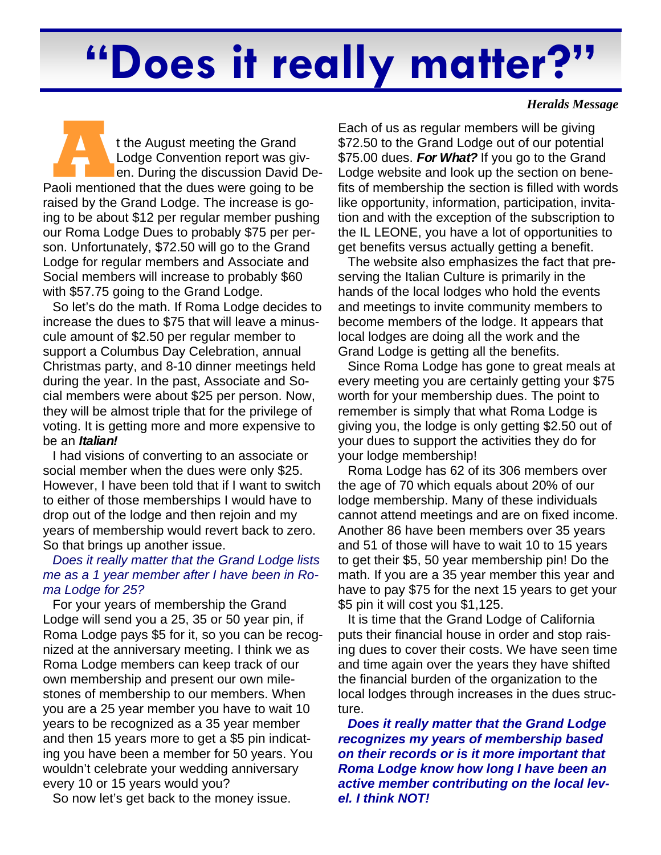# **"Does it really matter?"**

**A External A Lodge Convention report was given**<br>
Paoli mentioned that the dues were going to be Lodge Convention report was given. During the discussion David Deraised by the Grand Lodge. The increase is going to be about \$12 per regular member pushing our Roma Lodge Dues to probably \$75 per person. Unfortunately, \$72.50 will go to the Grand Lodge for regular members and Associate and Social members will increase to probably \$60 with \$57.75 going to the Grand Lodge.

So let's do the math. If Roma Lodge decides to increase the dues to \$75 that will leave a minuscule amount of \$2.50 per regular member to support a Columbus Day Celebration, annual Christmas party, and 8-10 dinner meetings held during the year. In the past, Associate and Social members were about \$25 per person. Now, they will be almost triple that for the privilege of voting. It is getting more and more expensive to be an *Italian!*

I had visions of converting to an associate or social member when the dues were only \$25. However, I have been told that if I want to switch to either of those memberships I would have to drop out of the lodge and then rejoin and my years of membership would revert back to zero. So that brings up another issue.

#### *Does it really matter that the Grand Lodge lists me as a 1 year member after I have been in Roma Lodge for 25?*

For your years of membership the Grand Lodge will send you a 25, 35 or 50 year pin, if Roma Lodge pays \$5 for it, so you can be recognized at the anniversary meeting. I think we as Roma Lodge members can keep track of our own membership and present our own milestones of membership to our members. When you are a 25 year member you have to wait 10 years to be recognized as a 35 year member and then 15 years more to get a \$5 pin indicating you have been a member for 50 years. You wouldn't celebrate your wedding anniversary every 10 or 15 years would you?

So now let's get back to the money issue.

*Heralds Message* 

Each of us as regular members will be giving \$72.50 to the Grand Lodge out of our potential \$75.00 dues. *For What?* If you go to the Grand Lodge website and look up the section on benefits of membership the section is filled with words like opportunity, information, participation, invitation and with the exception of the subscription to the IL LEONE, you have a lot of opportunities to get benefits versus actually getting a benefit.

The website also emphasizes the fact that preserving the Italian Culture is primarily in the hands of the local lodges who hold the events and meetings to invite community members to become members of the lodge. It appears that local lodges are doing all the work and the Grand Lodge is getting all the benefits.

Since Roma Lodge has gone to great meals at every meeting you are certainly getting your \$75 worth for your membership dues. The point to remember is simply that what Roma Lodge is giving you, the lodge is only getting \$2.50 out of your dues to support the activities they do for your lodge membership!

Roma Lodge has 62 of its 306 members over the age of 70 which equals about 20% of our lodge membership. Many of these individuals cannot attend meetings and are on fixed income. Another 86 have been members over 35 years and 51 of those will have to wait 10 to 15 years to get their \$5, 50 year membership pin! Do the math. If you are a 35 year member this year and have to pay \$75 for the next 15 years to get your \$5 pin it will cost you \$1,125.

It is time that the Grand Lodge of California puts their financial house in order and stop raising dues to cover their costs. We have seen time and time again over the years they have shifted the financial burden of the organization to the local lodges through increases in the dues structure.

*Does it really matter that the Grand Lodge recognizes my years of membership based on their records or is it more important that Roma Lodge know how long I have been an active member contributing on the local level. I think NOT!*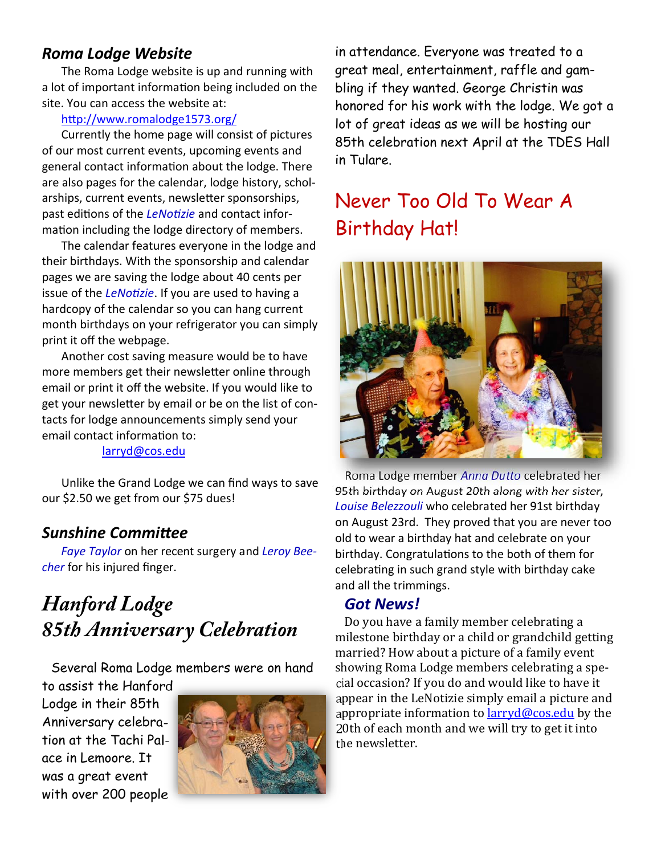#### *Roma Lodge Website*

The Roma Lodge website is up and running with a lot of important information being included on the site. You can access the website at:

#### http://www.romalodge1573.org/

Currently the home page will consist of pictures of our most current events, upcoming events and general contact information about the lodge. There are also pages for the calendar, lodge history, scholarships, current events, newsletter sponsorships, past editions of the *LeNotizie* and contact information including the lodge directory of members.

The calendar features everyone in the lodge and their birthdays. With the sponsorship and calendar pages we are saving the lodge about 40 cents per issue of the *LeNotizie*. If you are used to having a hardcopy of the calendar so you can hang current month birthdays on your refrigerator you can simply print it off the webpage.

Another cost saving measure would be to have more members get their newsletter online through email or print it off the website. If you would like to get your newsletter by email or be on the list of contacts for lodge announcements simply send your email contact information to:

#### larryd@cos.edu

Unlike the Grand Lodge we can find ways to save our \$2.50 we get from our \$75 dues!

#### *Sunshine CommiƩee*

*Faye Taylor* on her recent surgery and *Leroy Beecher* for his injured finger.

# *Hanford Lodge 85th Anniversary Celebration*

Several Roma Lodge members were on hand

to assist the Hanford Lodge in their 85th Anniversary celebration at the Tachi Palace in Lemoore. It was a great event with over 200 people



in attendance. Everyone was treated to a great meal, entertainment, raffle and gambling if they wanted. George Christin was honored for his work with the lodge. We got a lot of great ideas as we will be hosting our 85th celebration next April at the TDES Hall in Tulare.

# Never Too Old To Wear A Birthday Hat!



Roma Lodge member *Anna DuƩo* celebrated her 95th birthday on August 20th along with her sister, *Louise Belezzouli* who celebrated her 91st birthday on August 23rd. They proved that you are never too old to wear a birthday hat and celebrate on your birthday. Congratulations to the both of them for celebrating in such grand style with birthday cake and all the trimmings.

#### *Got News!*

Do you have a family member celebrating a milestone birthday or a child or grandchild getting married? How about a picture of a family event showing Roma Lodge members celebrating a special occasion? If you do and would like to have it appear in the LeNotizie simply email a picture and appropriate information to  $larrvd@cos.edu$  by the 20th of each month and we will try to get it into the newsletter.